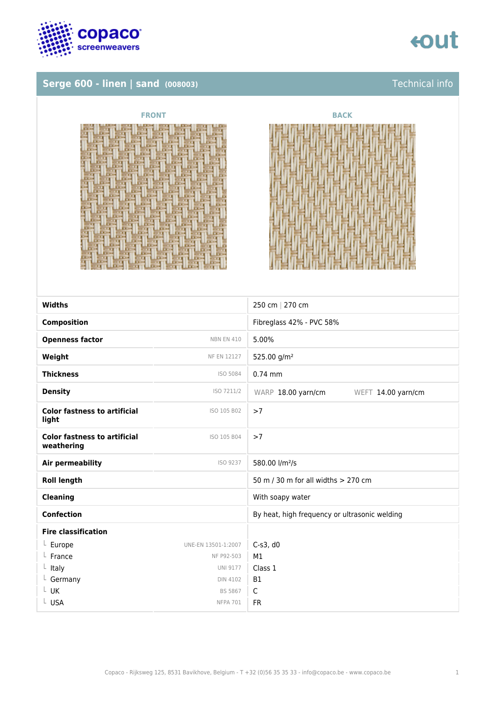

# **Serge 600 - linen | sand (008003)** Technical info







| <b>Widths</b>                                     |                     | 250 cm   270 cm                               |
|---------------------------------------------------|---------------------|-----------------------------------------------|
| <b>Composition</b>                                |                     | Fibreglass 42% - PVC 58%                      |
| <b>Openness factor</b>                            | <b>NBN EN 410</b>   | 5.00%                                         |
| Weight                                            | <b>NF EN 12127</b>  | 525.00 g/m <sup>2</sup>                       |
| <b>Thickness</b>                                  | ISO 5084            | $0.74$ mm                                     |
| <b>Density</b>                                    | ISO 7211/2          | WARP 18.00 yarn/cm<br>WEFT 14.00 yarn/cm      |
| <b>Color fastness to artificial</b><br>light      | ISO 105 B02         | >7                                            |
| <b>Color fastness to artificial</b><br>weathering | ISO 105 B04         | >7                                            |
| <b>Air permeability</b>                           | ISO 9237            | 580.00 l/m <sup>2</sup> /s                    |
| <b>Roll length</b>                                |                     | 50 m / 30 m for all widths $> 270$ cm         |
| <b>Cleaning</b>                                   |                     | With soapy water                              |
| <b>Confection</b>                                 |                     | By heat, high frequency or ultrasonic welding |
| <b>Fire classification</b>                        |                     |                                               |
| $L$ Europe                                        | UNE-EN 13501-1:2007 | $C-s3$ , d $0$                                |
| France                                            | NF P92-503          | M1                                            |
| $L$ Italy                                         | <b>UNI 9177</b>     | Class 1                                       |
| $L$ Germany                                       | <b>DIN 4102</b>     | <b>B1</b>                                     |
| $L$ UK                                            | <b>BS 5867</b>      | C                                             |
| L USA                                             | <b>NFPA 701</b>     | <b>FR</b>                                     |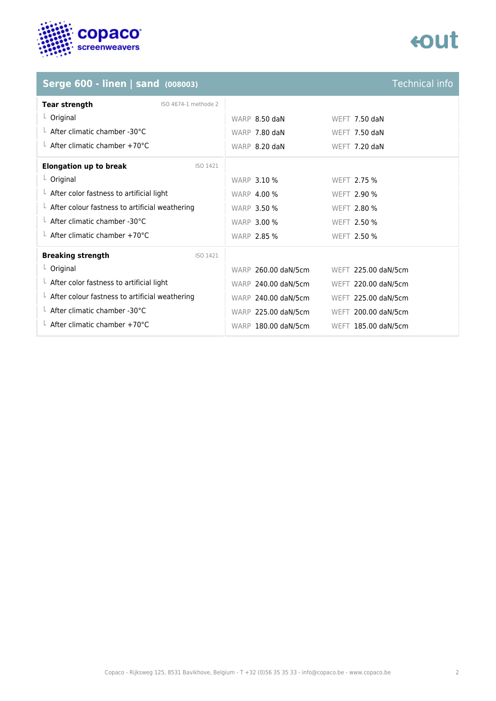

# **tout**

# **Serge 600 - linen | sand (008003)**

| <b>Technical info</b> |  |
|-----------------------|--|
|                       |  |
|                       |  |

| <b>Tear strength</b><br>ISO 4674-1 methode 2           |                     |                     |
|--------------------------------------------------------|---------------------|---------------------|
| $L$ Original                                           | WARP 8.50 daN       | WEFT $7.50$ daN     |
| $\perp$ After climatic chamber -30°C                   | WARP 7.80 daN       | WEFT 7.50 daN       |
| $\perp$ After climatic chamber +70°C                   | WARP 8.20 daN       | WEFT 7.20 daN       |
| <b>Elongation up to break</b><br>ISO 1421              |                     |                     |
| $L$ Original                                           | <b>WARP 3.10 %</b>  | WEFT 2.75 %         |
| $\perp$ After color fastness to artificial light       | <b>WARP 4.00 %</b>  | <b>WEFT 2.90 %</b>  |
| $\perp$ After colour fastness to artificial weathering | <b>WARP 3.50 %</b>  | <b>WEFT 2.80 %</b>  |
| $\perp$ After climatic chamber -30°C                   | <b>WARP 3.00 %</b>  | WEFT 2.50 %         |
| $\perp$ After climatic chamber +70°C                   | <b>WARP 2.85 %</b>  | <b>WEFT 2.50 %</b>  |
| <b>Breaking strength</b><br>ISO 1421                   |                     |                     |
| $L$ Original                                           | WARP 260.00 daN/5cm | WEFT 225.00 daN/5cm |
| $\perp$ After color fastness to artificial light       | WARP 240.00 daN/5cm | WEFT 220.00 daN/5cm |
| $\perp$ After colour fastness to artificial weathering | WARP 240.00 daN/5cm | WEFT 225.00 daN/5cm |
| $\perp$ After climatic chamber -30°C                   | WARP 225.00 daN/5cm | WEFT 200.00 daN/5cm |
| $\perp$ After climatic chamber +70°C                   | WARP 180.00 daN/5cm | WEFT 185.00 daN/5cm |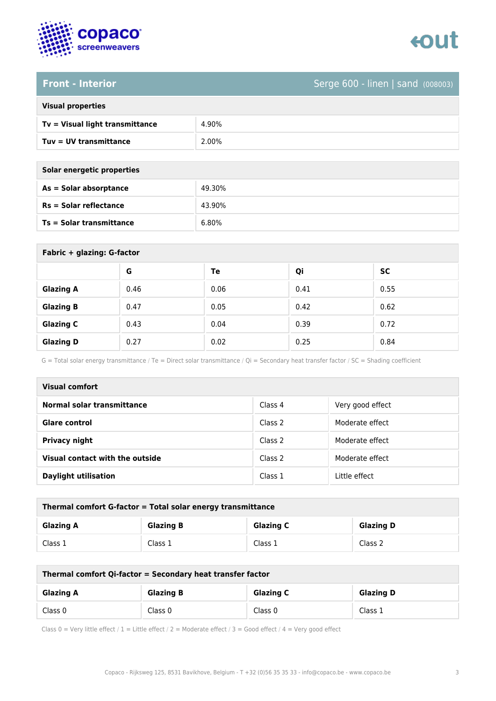

### **Front - Interior** Serge 600 - linen | sand (008003)

| <b>Visual properties</b> |  |
|--------------------------|--|
|                          |  |

| Tv = Visual light transmittance | 4.90% |
|---------------------------------|-------|
| Tuv = UV transmittance          | 2.00% |

**As = Solar absorptance** 49.30%

**Rs = Solar reflectance** 43.90%

| Solar energetic properties      |        |
|---------------------------------|--------|
| As = Solar absorptance          | 49.30% |
| $Rs = Solar$ reflectance        | 43.90% |
| <b>Ts = Solar transmittance</b> | 6.80%  |

| Fabric + glazing: G-factor |      |      |      |      |
|----------------------------|------|------|------|------|
|                            | G    | Te   | Qi   | SC   |
| <b>Glazing A</b>           | 0.46 | 0.06 | 0.41 | 0.55 |
| <b>Glazing B</b>           | 0.47 | 0.05 | 0.42 | 0.62 |
| <b>Glazing C</b>           | 0.43 | 0.04 | 0.39 | 0.72 |
| <b>Glazing D</b>           | 0.27 | 0.02 | 0.25 | 0.84 |

G = Total solar energy transmittance / Te = Direct solar transmittance / Qi = Secondary heat transfer factor / SC = Shading coefficient

| <b>Visual comfort</b>           |         |                  |
|---------------------------------|---------|------------------|
| Normal solar transmittance      | Class 4 | Very good effect |
| <b>Glare control</b>            | Class 2 | Moderate effect  |
| <b>Privacy night</b>            | Class 2 | Moderate effect  |
| Visual contact with the outside | Class 2 | Moderate effect  |
| <b>Daylight utilisation</b>     | Class 1 | Little effect    |

| Thermal comfort G-factor = Total solar energy transmittance |                  |                  |                  |
|-------------------------------------------------------------|------------------|------------------|------------------|
| <b>Glazing A</b>                                            | <b>Glazing B</b> | <b>Glazing C</b> | <b>Glazing D</b> |
| Class 1                                                     | Class 1          | Class 1          | Class 2          |

| Thermal comfort Qi-factor = Secondary heat transfer factor |                  |                  |                  |
|------------------------------------------------------------|------------------|------------------|------------------|
| <b>Glazing A</b>                                           | <b>Glazing B</b> | <b>Glazing C</b> | <b>Glazing D</b> |
| Class 0                                                    | Class 0          | Class 0          | Class 1          |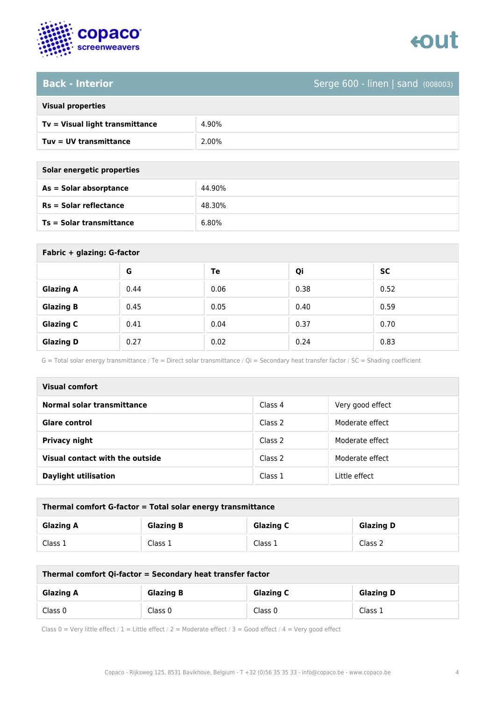

### **Back - Interior** Serge 600 - linen | sand (008003)

| <b>Visual properties</b> |  |
|--------------------------|--|
|                          |  |

| Tv = Visual light transmittance | 4.90% |
|---------------------------------|-------|
| Tuy = UV transmittance          | 2.00% |

**As = Solar absorptance** 44.90%

**Rs = Solar reflectance** 48.30%

**Ts = Solar transmittance** 6.80%

| Solar energetic properties |
|----------------------------|
| As = Solar absorptance     |
| $Rs = Solar$ reflectance   |
| $Ts = Solar$ transmittance |

| Fabric + glazing: G-factor |      |      |      |           |
|----------------------------|------|------|------|-----------|
|                            | G    | Te   | Qi   | <b>SC</b> |
| <b>Glazing A</b>           | 0.44 | 0.06 | 0.38 | 0.52      |
| <b>Glazing B</b>           | 0.45 | 0.05 | 0.40 | 0.59      |
| <b>Glazing C</b>           | 0.41 | 0.04 | 0.37 | 0.70      |
| <b>Glazing D</b>           | 0.27 | 0.02 | 0.24 | 0.83      |

G = Total solar energy transmittance / Te = Direct solar transmittance / Qi = Secondary heat transfer factor / SC = Shading coefficient

| <b>Visual comfort</b>           |         |                  |
|---------------------------------|---------|------------------|
| Normal solar transmittance      | Class 4 | Very good effect |
| <b>Glare control</b>            | Class 2 | Moderate effect  |
| <b>Privacy night</b>            | Class 2 | Moderate effect  |
| Visual contact with the outside | Class 2 | Moderate effect  |
| <b>Daylight utilisation</b>     | Class 1 | Little effect    |

| Thermal comfort G-factor = Total solar energy transmittance |                  |                  |                  |
|-------------------------------------------------------------|------------------|------------------|------------------|
| <b>Glazing A</b>                                            | <b>Glazing B</b> | <b>Glazing C</b> | <b>Glazing D</b> |
| Class 1                                                     | Class 1          | Class 1          | Class 2          |

| Thermal comfort Qi-factor = Secondary heat transfer factor |                  |                  |                  |
|------------------------------------------------------------|------------------|------------------|------------------|
| <b>Glazing A</b>                                           | <b>Glazing B</b> | <b>Glazing C</b> | <b>Glazing D</b> |
| Class 0                                                    | Class 0          | Class 0          | Class 1          |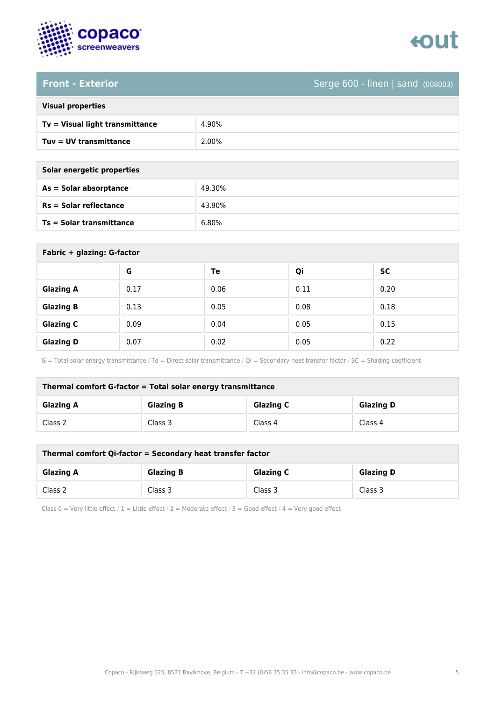



### **Front - Exterior** Serge 600 - linen | sand (008003)

| <b>Visual properties</b> |  |  |
|--------------------------|--|--|
|                          |  |  |

| Tv = Visual light transmittance | 4.90% |
|---------------------------------|-------|
| Tuy = UV transmittance          | 2.00% |

**As = Solar absorptance** 49.30%

**Rs = Solar reflectance** 43.90%

**Ts = Solar transmittance** 6.80%

| Solar energetic properties      |
|---------------------------------|
| As = Solar absorptance          |
| $Rs = Solar$ reflectance        |
| <b>Ts = Solar transmittance</b> |

| Fabric + glazing: G-factor |      |      |      |           |
|----------------------------|------|------|------|-----------|
|                            | G    | Te   | Qi   | <b>SC</b> |
| <b>Glazing A</b>           | 0.17 | 0.06 | 0.11 | 0.20      |
| <b>Glazing B</b>           | 0.13 | 0.05 | 0.08 | 0.18      |
| <b>Glazing C</b>           | 0.09 | 0.04 | 0.05 | 0.15      |
| <b>Glazing D</b>           | 0.07 | 0.02 | 0.05 | 0.22      |

G = Total solar energy transmittance / Te = Direct solar transmittance / Qi = Secondary heat transfer factor / SC = Shading coefficient

| Thermal comfort G-factor = Total solar energy transmittance |                  |                  |                  |
|-------------------------------------------------------------|------------------|------------------|------------------|
| <b>Glazing A</b>                                            | <b>Glazing B</b> | <b>Glazing C</b> | <b>Glazing D</b> |
| Class 2                                                     | Class 3          | Class 4          | Class 4          |

| Thermal comfort Qi-factor = Secondary heat transfer factor |                  |                  |                  |
|------------------------------------------------------------|------------------|------------------|------------------|
| <b>Glazing A</b>                                           | <b>Glazing B</b> | <b>Glazing C</b> | <b>Glazing D</b> |
| Class 2                                                    | Class 3          | Class 3          | Class 3          |